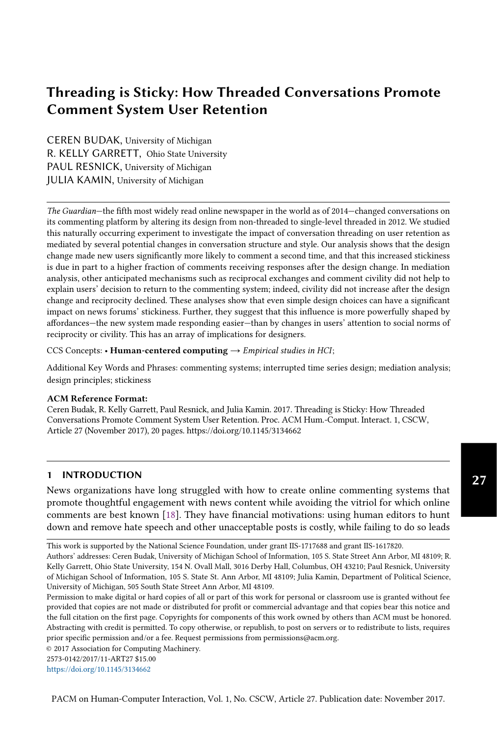# Threading is Sticky: How Threaded Conversations Promote Comment System User Retention

CEREN BUDAK, University of Michigan R. KELLY GARRETT, Ohio State University PAUL RESNICK, University of Michigan JULIA KAMIN, University of Michigan

The Guardian-the fifth most widely read online newspaper in the world as of 2014–changed conversations on its commenting platform by altering its design from non-threaded to single-level threaded in 2012. We studied this naturally occurring experiment to investigate the impact of conversation threading on user retention as mediated by several potential changes in conversation structure and style. Our analysis shows that the design change made new users significantly more likely to comment a second time, and that this increased stickiness is due in part to a higher fraction of comments receiving responses after the design change. In mediation analysis, other anticipated mechanisms such as reciprocal exchanges and comment civility did not help to explain users' decision to return to the commenting system; indeed, civility did not increase after the design change and reciprocity declined. These analyses show that even simple design choices can have a significant impact on news forums' stickiness. Further, they suggest that this influence is more powerfully shaped by affordances—the new system made responding easier—than by changes in users' attention to social norms of reciprocity or civility. This has an array of implications for designers.

CCS Concepts: • Human-centered computing  $\rightarrow$  Empirical studies in HCI;

Additional Key Words and Phrases: commenting systems; interrupted time series design; mediation analysis; design principles; stickiness

# ACM Reference format: **ACM Reference Format:**

Ceren Budak, R. Kelly Garrett, Paul Resnick, and Julia Kamin. 2017. Threading is Sticky: How Threaded Ceren Budak, R. Kelly Garrett, Paul Resnick, and Julia Kamin. 2017. Threading is Sticky: How Threaded Conversations Promote Comment System User Retention. Proc. ACM Hum.-Comput. Interact. 1, CSCW, (November 2017), 20 pages. Article 27 (November 2017), 20 pages. https://doi.org/10.1145/3134662

# 1 INTRODUCTION

News organizations have long struggled with how to create online commenting systems that promote thoughtful engagement with news content while avoiding the vitriol for which online comments are best known [18]. They have financial motivations: using human editors to hunt down and remove hate speech and other unacceptable posts is costly, while failing to do so leads

© 2017 Association for Computing Machinery.

2573-0142/2017/11-ART27 \$15.00

https://doi.org/10.1145/3134662

This work is supported by the National Science Foundation, under grant IIS-1717688 and grant IIS-1617820. Authors' addresses: Ceren Budak, University of Michigan School of Information, 105 S. State Street Ann Arbor, MI 48109; R. Kelly Garrett, Ohio State University, 154 N. Ovall Mall, 3016 Derby Hall, Columbus, OH 43210; Paul Resnick, University of Michigan School of Information, 105 S. State St. Ann Arbor, MI 48109; Julia Kamin, Department of Political Science, University of Michigan, 505 South State Street Ann Arbor, MI 48109.

Permission to make digital or hard copies of all or part of this work for personal or classroom use is granted without fee provided that copies are not made or distributed for profit or commercial advantage and that copies bear this notice and the full citation on the first page. Copyrights for components of this work owned by others than ACM must be honored. Abstracting with credit is permitted. To copy otherwise, or republish, to post on servers or to redistribute to lists, requires prior specific permission and/or a fee. Request permissions from permissions@acm.org.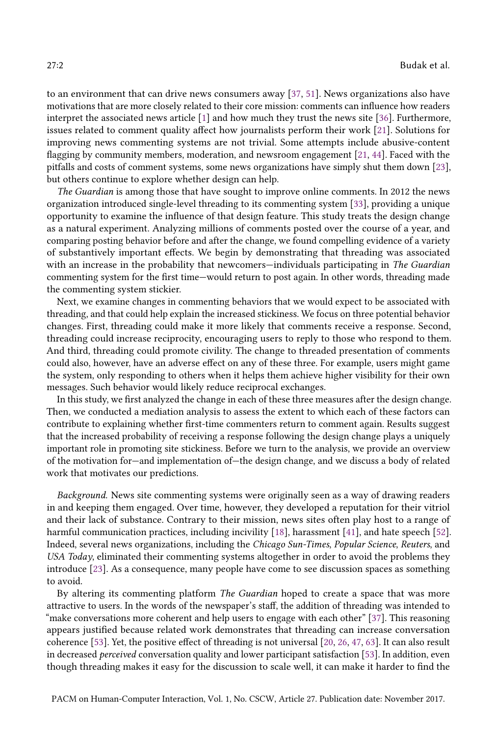to an environment that can drive news consumers away [37, 51]. News organizations also have motivations that are more closely related to their core mission: comments can influence how readers interpret the associated news article [1] and how much they trust the news site [36]. Furthermore, issues related to comment quality affect how journalists perform their work [21]. Solutions for improving news commenting systems are not trivial. Some attempts include abusive-content flagging by community members, moderation, and newsroom engagement [21, 44]. Faced with the pitfalls and costs of comment systems, some news organizations have simply shut them down [23], but others continue to explore whether design can help.

The Guardian is among those that have sought to improve online comments. In 2012 the news organization introduced single-level threading to its commenting system [33], providing a unique opportunity to examine the influence of that design feature. This study treats the design change as a natural experiment. Analyzing millions of comments posted over the course of a year, and comparing posting behavior before and after the change, we found compelling evidence of a variety of substantively important effects. We begin by demonstrating that threading was associated with an increase in the probability that newcomers-individuals participating in The Guardian commenting system for the first time–would return to post again. In other words, threading made the commenting system stickier.

Next, we examine changes in commenting behaviors that we would expect to be associated with threading, and that could help explain the increased stickiness. We focus on three potential behavior changes. First, threading could make it more likely that comments receive a response. Second, threading could increase reciprocity, encouraging users to reply to those who respond to them. And third, threading could promote civility. The change to threaded presentation of comments could also, however, have an adverse effect on any of these three. For example, users might game the system, only responding to others when it helps them achieve higher visibility for their own messages. Such behavior would likely reduce reciprocal exchanges.

In this study, we first analyzed the change in each of these three measures after the design change. Then, we conducted a mediation analysis to assess the extent to which each of these factors can contribute to explaining whether first-time commenters return to comment again. Results suggest that the increased probability of receiving a response following the design change plays a uniquely important role in promoting site stickiness. Before we turn to the analysis, we provide an overview of the motivation for–and implementation of–the design change, and we discuss a body of related work that motivates our predictions.

Background. News site commenting systems were originally seen as a way of drawing readers in and keeping them engaged. Over time, however, they developed a reputation for their vitriol and their lack of substance. Contrary to their mission, news sites often play host to a range of harmful communication practices, including incivility [18], harassment [41], and hate speech [52]. Indeed, several news organizations, including the Chicago Sun-Times, Popular Science, Reuters, and USA Today, eliminated their commenting systems altogether in order to avoid the problems they introduce [23]. As a consequence, many people have come to see discussion spaces as something to avoid.

By altering its commenting platform The Guardian hoped to create a space that was more attractive to users. In the words of the newspaper's staff, the addition of threading was intended to "make conversations more coherent and help users to engage with each other"  $[37]$ . This reasoning appears justified because related work demonstrates that threading can increase conversation coherence [53]. Yet, the positive effect of threading is not universal [20, 26, 47, 63]. It can also result in decreased perceived conversation quality and lower participant satisfaction [53]. In addition, even though threading makes it easy for the discussion to scale well, it can make it harder to find the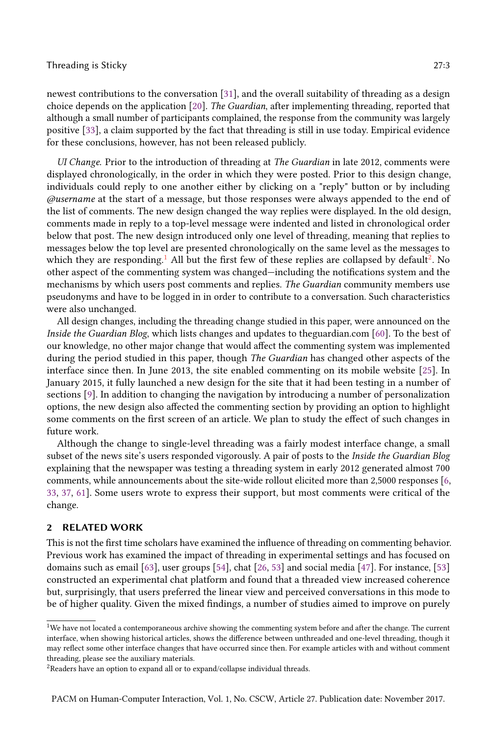newest contributions to the conversation [31], and the overall suitability of threading as a design choice depends on the application [20]. The Guardian, after implementing threading, reported that although a small number of participants complained, the response from the community was largely positive [33], a claim supported by the fact that threading is still in use today. Empirical evidence for these conclusions, however, has not been released publicly.

UI Change. Prior to the introduction of threading at The Guardian in late 2012, comments were displayed chronologically, in the order in which they were posted. Prior to this design change, individuals could reply to one another either by clicking on a "reply" button or by including @username at the start of a message, but those responses were always appended to the end of the list of comments. The new design changed the way replies were displayed. In the old design, comments made in reply to a top-level message were indented and listed in chronological order below that post. The new design introduced only one level of threading, meaning that replies to messages below the top level are presented chronologically on the same level as the messages to which they are responding.<sup>1</sup> All but the first few of these replies are collapsed by default<sup>2</sup>. No other aspect of the commenting system was changed—including the notifications system and the mechanisms by which users post comments and replies. The Guardian community members use pseudonyms and have to be logged in in order to contribute to a conversation. Such characteristics were also unchanged.

All design changes, including the threading change studied in this paper, were announced on the Inside the Guardian Blog, which lists changes and updates to theguardian.com [60]. To the best of our knowledge, no other major change that would affect the commenting system was implemented during the period studied in this paper, though *The Guardian* has changed other aspects of the interface since then. In June 2013, the site enabled commenting on its mobile website [25]. In January 2015, it fully launched a new design for the site that it had been testing in a number of sections [9]. In addition to changing the navigation by introducing a number of personalization options, the new design also affected the commenting section by providing an option to highlight some comments on the first screen of an article. We plan to study the effect of such changes in future work.

Although the change to single-level threading was a fairly modest interface change, a small subset of the news site's users responded vigorously. A pair of posts to the Inside the Guardian Blog explaining that the newspaper was testing a threading system in early 2012 generated almost 700 comments, while announcements about the site-wide rollout elicited more than 2,5000 responses [6, 33, 37, 61]. Some users wrote to express their support, but most comments were critical of the change.

# 2 RELATED WORK

This is not the first time scholars have examined the influence of threading on commenting behavior. Previous work has examined the impact of threading in experimental settings and has focused on domains such as email [63], user groups [54], chat [26, 53] and social media [47]. For instance, [53] constructed an experimental chat platform and found that a threaded view increased coherence but, surprisingly, that users preferred the linear view and perceived conversations in this mode to be of higher quality. Given the mixed findings, a number of studies aimed to improve on purely

<sup>1</sup>We have not located a contemporaneous archive showing the commenting system before and after the change. The current interface, when showing historical articles, shows the difference between unthreaded and one-level threading, though it may reflect some other interface changes that have occurred since then. For example articles with and without comment threading, please see the auxiliary materials.

<sup>&</sup>lt;sup>2</sup>Readers have an option to expand all or to expand/collapse individual threads.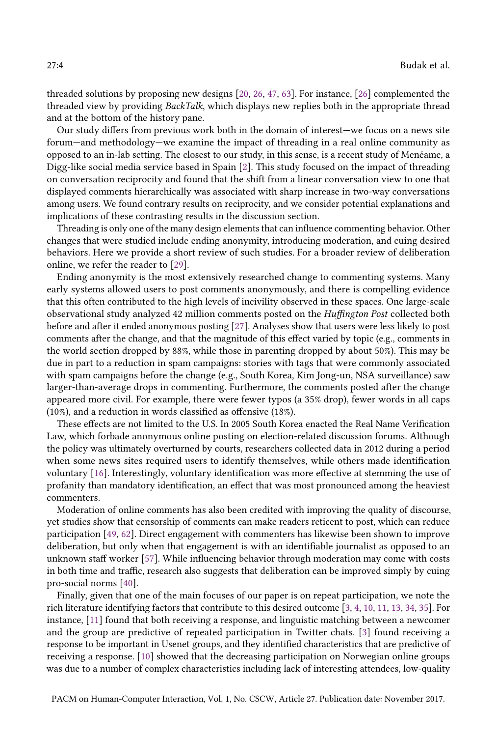threaded solutions by proposing new designs [20, 26, 47, 63]. For instance, [26] complemented the threaded view by providing BackTalk, which displays new replies both in the appropriate thread and at the bottom of the history pane.

Our study differs from previous work both in the domain of interest-we focus on a news site forum–and methodology–we examine the impact of threading in a real online community as opposed to an in-lab setting. The closest to our study, in this sense, is a recent study of Menéame, a Digg-like social media service based in Spain [2]. This study focused on the impact of threading on conversation reciprocity and found that the shift from a linear conversation view to one that displayed comments hierarchically was associated with sharp increase in two-way conversations among users. We found contrary results on reciprocity, and we consider potential explanations and implications of these contrasting results in the discussion section.

Threading is only one of the many design elements that can influence commenting behavior. Other changes that were studied include ending anonymity, introducing moderation, and cuing desired behaviors. Here we provide a short review of such studies. For a broader review of deliberation online, we refer the reader to [29].

Ending anonymity is the most extensively researched change to commenting systems. Many early systems allowed users to post comments anonymously, and there is compelling evidence that this often contributed to the high levels of incivility observed in these spaces. One large-scale observational study analyzed 42 million comments posted on the Huffington Post collected both before and after it ended anonymous posting [27]. Analyses show that users were less likely to post comments after the change, and that the magnitude of this effect varied by topic (e.g., comments in the world section dropped by 88%, while those in parenting dropped by about 50%). This may be due in part to a reduction in spam campaigns: stories with tags that were commonly associated with spam campaigns before the change (e.g., South Korea, Kim Jong-un, NSA surveillance) saw larger-than-average drops in commenting. Furthermore, the comments posted after the change appeared more civil. For example, there were fewer typos (a 35% drop), fewer words in all caps (10%), and a reduction in words classified as offensive (18%).

These effects are not limited to the U.S. In 2005 South Korea enacted the Real Name Verification Law, which forbade anonymous online posting on election-related discussion forums. Although the policy was ultimately overturned by courts, researchers collected data in 2012 during a period when some news sites required users to identify themselves, while others made identification voluntary [16]. Interestingly, voluntary identification was more effective at stemming the use of profanity than mandatory identification, an effect that was most pronounced among the heaviest commenters.

Moderation of online comments has also been credited with improving the quality of discourse, yet studies show that censorship of comments can make readers reticent to post, which can reduce participation [49, 62]. Direct engagement with commenters has likewise been shown to improve deliberation, but only when that engagement is with an identifiable journalist as opposed to an unknown staff worker [57]. While influencing behavior through moderation may come with costs in both time and traffic, research also suggests that deliberation can be improved simply by cuing pro-social norms [40].

Finally, given that one of the main focuses of our paper is on repeat participation, we note the rich literature identifying factors that contribute to this desired outcome [3, 4, 10, 11, 13, 34, 35]. For instance, [11] found that both receiving a response, and linguistic matching between a newcomer and the group are predictive of repeated participation in Twitter chats. [3] found receiving a response to be important in Usenet groups, and they identified characteristics that are predictive of receiving a response. [10] showed that the decreasing participation on Norwegian online groups was due to a number of complex characteristics including lack of interesting attendees, low-quality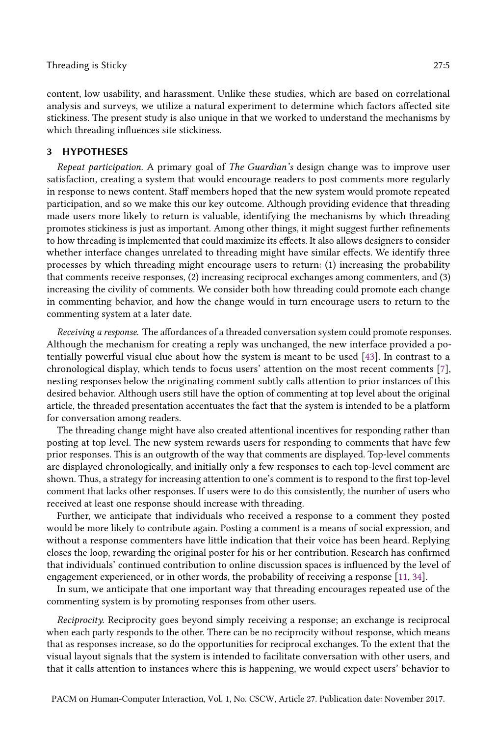content, low usability, and harassment. Unlike these studies, which are based on correlational analysis and surveys, we utilize a natural experiment to determine which factors affected site stickiness. The present study is also unique in that we worked to understand the mechanisms by which threading influences site stickiness.

# 3 HYPOTHESES

Repeat participation. A primary goal of The Guardian's design change was to improve user satisfaction, creating a system that would encourage readers to post comments more regularly in response to news content. Staff members hoped that the new system would promote repeated participation, and so we make this our key outcome. Although providing evidence that threading made users more likely to return is valuable, identifying the mechanisms by which threading promotes stickiness is just as important. Among other things, it might suggest further refinements to how threading is implemented that could maximize its effects. It also allows designers to consider whether interface changes unrelated to threading might have similar effects. We identify three processes by which threading might encourage users to return: (1) increasing the probability that comments receive responses, (2) increasing reciprocal exchanges among commenters, and (3) increasing the civility of comments. We consider both how threading could promote each change in commenting behavior, and how the change would in turn encourage users to return to the commenting system at a later date.

Receiving a response. The affordances of a threaded conversation system could promote responses. Although the mechanism for creating a reply was unchanged, the new interface provided a potentially powerful visual clue about how the system is meant to be used [43]. In contrast to a chronological display, which tends to focus users' attention on the most recent comments [7], nesting responses below the originating comment subtly calls attention to prior instances of this desired behavior. Although users still have the option of commenting at top level about the original article, the threaded presentation accentuates the fact that the system is intended to be a platform for conversation among readers.

The threading change might have also created attentional incentives for responding rather than posting at top level. The new system rewards users for responding to comments that have few prior responses. This is an outgrowth of the way that comments are displayed. Top-level comments are displayed chronologically, and initially only a few responses to each top-level comment are shown. Thus, a strategy for increasing attention to one's comment is to respond to the first top-level comment that lacks other responses. If users were to do this consistently, the number of users who received at least one response should increase with threading.

Further, we anticipate that individuals who received a response to a comment they posted would be more likely to contribute again. Posting a comment is a means of social expression, and without a response commenters have little indication that their voice has been heard. Replying closes the loop, rewarding the original poster for his or her contribution. Research has confirmed that individuals' continued contribution to online discussion spaces is influenced by the level of engagement experienced, or in other words, the probability of receiving a response [11, 34].

In sum, we anticipate that one important way that threading encourages repeated use of the commenting system is by promoting responses from other users.

Reciprocity. Reciprocity goes beyond simply receiving a response; an exchange is reciprocal when each party responds to the other. There can be no reciprocity without response, which means that as responses increase, so do the opportunities for reciprocal exchanges. To the extent that the visual layout signals that the system is intended to facilitate conversation with other users, and that it calls attention to instances where this is happening, we would expect users' behavior to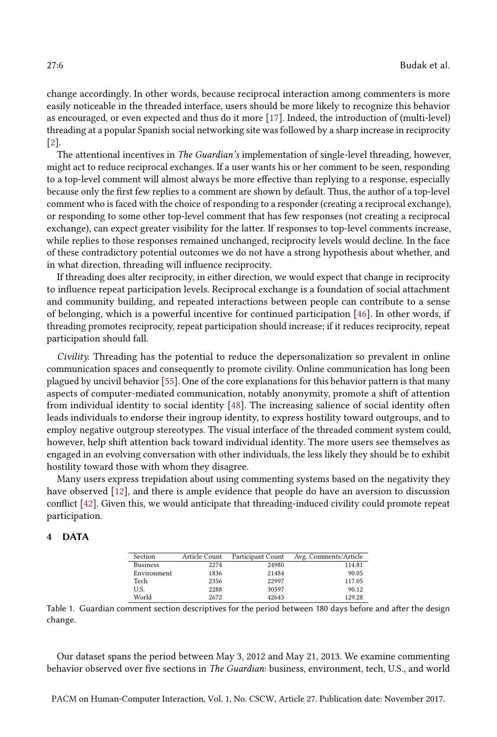change accordingly. In other words, because reciprocal interaction among commenters is more easily noticeable in the threaded interface, users should be more likely to recognize this behavior as encouraged, or even expected and thus do it more [17]. Indeed, the introduction of (multi-level) threading at a popular Spanish social networking site was followed by a sharp increase in reciprocity [2].

The attentional incentives in The Guardian's implementation of single-level threading, however, might act to reduce reciprocal exchanges. If a user wants his or her comment to be seen, responding to a top-level comment will almost always be more effective than replying to a response, especially because only the first few replies to a comment are shown by default. Thus, the author of a top-level comment who is faced with the choice of responding to a responder (creating a reciprocal exchange), or responding to some other top-level comment that has few responses (not creating a reciprocal exchange), can expect greater visibility for the latter. If responses to top-level comments increase, while replies to those responses remained unchanged, reciprocity levels would decline. In the face of these contradictory potential outcomes we do not have a strong hypothesis about whether, and in what direction, threading will influence reciprocity.

If threading does alter reciprocity, in either direction, we would expect that change in reciprocity to influence repeat participation levels. Reciprocal exchange is a foundation of social attachment and community building, and repeated interactions between people can contribute to a sense of belonging, which is a powerful incentive for continued participation [46]. In other words, if threading promotes reciprocity, repeat participation should increase; if it reduces reciprocity, repeat participation should fall.

Civility. Threading has the potential to reduce the depersonalization so prevalent in online communication spaces and consequently to promote civility. Online communication has long been plagued by uncivil behavior [55]. One of the core explanations for this behavior pattern is that many aspects of computer-mediated communication, notably anonymity, promote a shift of attention from individual identity to social identity [48]. The increasing salience of social identity often leads individuals to endorse their ingroup identity, to express hostility toward outgroups, and to employ negative outgroup stereotypes. The visual interface of the threaded comment system could, however, help shift attention back toward individual identity. The more users see themselves as engaged in an evolving conversation with other individuals, the less likely they should be to exhibit hostility toward those with whom they disagree.

Many users express trepidation about using commenting systems based on the negativity they have observed [12], and there is ample evidence that people do have an aversion to discussion conflict [42]. Given this, we would anticipate that threading-induced civility could promote repeat participation.

# 4 DATA

| Section         | Article Count | Participant Count | Avg. Comments/Article |
|-----------------|---------------|-------------------|-----------------------|
| <b>Business</b> | 2274          | 24980             | 114.81                |
| Environment     | 1836          | 21484             | 90.05                 |
| Tech            | 2356          | 22997             | 117.05                |
| U.S.            | 2288          | 30597             | 90.12                 |
| World           | 2672          | 42643             | 129.28                |

Table 1. Guardian comment section descriptives for the period between 180 days before and after the design change.

Our dataset spans the period between May 3, 2012 and May 21, 2013. We examine commenting behavior observed over five sections in The Guardian: business, environment, tech, U.S., and world

PACM on Human-Computer Interaction, Vol. 1, No. CSCW, Article 27. Publication date: November 2017.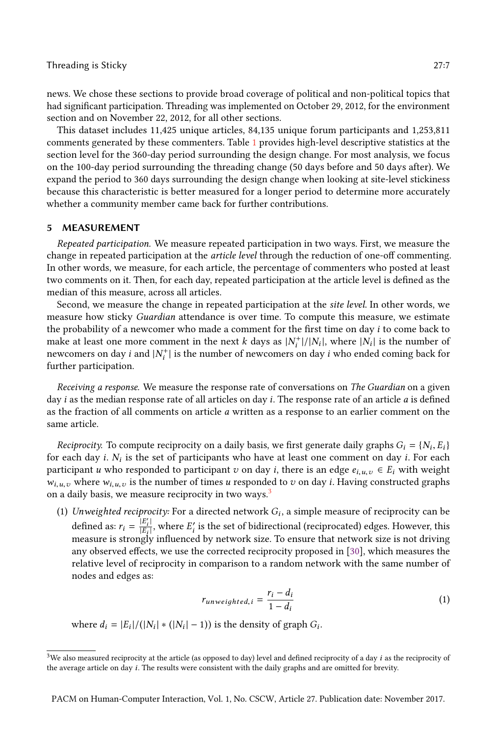news. We chose these sections to provide broad coverage of political and non-political topics that had significant participation. Threading was implemented on October 29, 2012, for the environment section and on November 22, 2012, for all other sections.

This dataset includes 11,425 unique articles, 84,135 unique forum participants and 1,253,811 comments generated by these commenters. Table 1 provides high-level descriptive statistics at the section level for the 360-day period surrounding the design change. For most analysis, we focus on the 100-day period surrounding the threading change (50 days before and 50 days after). We expand the period to 360 days surrounding the design change when looking at site-level stickiness because this characteristic is better measured for a longer period to determine more accurately whether a community member came back for further contributions.

# 5 MEASUREMENT

Repeated participation. We measure repeated participation in two ways. First, we measure the change in repeated participation at the article level through the reduction of one-off commenting. In other words, we measure, for each article, the percentage of commenters who posted at least two comments on it. Then, for each day, repeated participation at the article level is defined as the median of this measure, across all articles.

Second, we measure the change in repeated participation at the site level. In other words, we measure how sticky Guardian attendance is over time. To compute this measure, we estimate the probability of a newcomer who made a comment for the first time on day i to come back to make at least one more comment in the next *k* days as  $|N_i^+|$  $\binom{m}{i}$  // $\lfloor N_i \rfloor$ , where  $\lfloor N_i \rfloor$  is the number of newcomers on day *i* and  $|N_i^+|$  $i_i^+$  is the number of newcomers on day  $i$  who ended coming back for further participation.

Receiving a response. We measure the response rate of conversations on The Guardian on a given day *i* as the median response rate of all articles on day *i*. The response rate of an article  $a$  is defined as the fraction of all comments on article a written as a response to an earlier comment on the same article.

Reciprocity. To compute reciprocity on a daily basis, we first generate daily graphs  $G_i = \{N_i, E_i\}$ for each day i.  $N_i$  is the set of participants who have at least one comment on day i. For each participant u who responded to participant v on day i, there is an edge  $e_{i,u,v} \in E_i$  with weight  $w_{i,u,v}$  where  $w_{i,u,v}$  is the number of times u responded to v on day i. Having constructed graphs on a daily basis, we measure reciprocity in two ways.<sup>3</sup>

(1) Unweighted reciprocity: For a directed network  $G_i$ , a simple measure of reciprocity can be defined as:  $r_i = \frac{\overline{|E'_i|}}{|E_i|}$  $\frac{|E_i|}{|E_i|}$ , where  $E'_i$  is the set of bidirectional (reciprocated) edges. However, this measure is strongly influenced by network size. To ensure that network size is not driving any observed effects, we use the corrected reciprocity proposed in [30], which measures the relative level of reciprocity in comparison to a random network with the same number of nodes and edges as:

$$
r_{unweighted,i} = \frac{r_i - d_i}{1 - d_i} \tag{1}
$$

where  $d_i = |E_i|/(|N_i| * (|N_i| - 1))$  is the density of graph  $G_i$ .

 $3$ We also measured reciprocity at the article (as opposed to day) level and defined reciprocity of a day i as the reciprocity of the average article on day i. The results were consistent with the daily graphs and are omitted for brevity.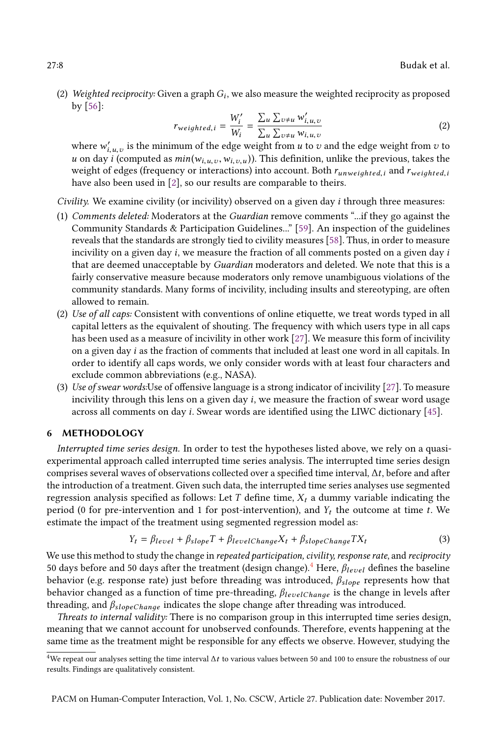(2) Weighted reciprocity: Given a graph  $G_i$ , we also measure the weighted reciprocity as proposed by [56]:

$$
r_{weighted,i} = \frac{W_i'}{W_i} = \frac{\sum_{u} \sum_{v \neq u} w_{i,u,v}'}{\sum_{u} \sum_{v \neq u} w_{i,u,v}} \tag{2}
$$

where  $w'_{i,u,v}$  is the minimum of the edge weight from u to v and the edge weight from v to u on day i (computed as  $min(w_{i,u,v}, w_{i,v,u})$ ). This definition, unlike the previous, takes the weight of edges (frequency or interactions) into account. Both  $r_{unweighted,i}$  and  $r_{weighted,i}$ have also been used in [2], so our results are comparable to theirs.

Civility. We examine civility (or incivility) observed on a given day i through three measures:

- (1) Comments deleted: Moderators at the Guardian remove comments "...if they go against the Community Standards & Participation Guidelines...ž [59]. An inspection of the guidelines reveals that the standards are strongly tied to civility measures [58]. Thus, in order to measure incivility on a given day  $i$ , we measure the fraction of all comments posted on a given day  $i$ that are deemed unacceptable by Guardian moderators and deleted. We note that this is a fairly conservative measure because moderators only remove unambiguous violations of the community standards. Many forms of incivility, including insults and stereotyping, are often allowed to remain.
- (2) Use of all caps: Consistent with conventions of online etiquette, we treat words typed in all capital letters as the equivalent of shouting. The frequency with which users type in all caps has been used as a measure of incivility in other work [27]. We measure this form of incivility on a given day i as the fraction of comments that included at least one word in all capitals. In order to identify all caps words, we only consider words with at least four characters and exclude common abbreviations (e.g., NASA).
- (3) Use of swear words:Use of offensive language is a strong indicator of incivility [27]. To measure incivility through this lens on a given day  $i$ , we measure the fraction of swear word usage across all comments on day i. Swear words are identified using the LIWC dictionary [45].

# 6 METHODOLOGY

Interrupted time series design. In order to test the hypotheses listed above, we rely on a quasiexperimental approach called interrupted time series analysis. The interrupted time series design comprises several waves of observations collected over a specified time interval, ∆t, before and after the introduction of a treatment. Given such data, the interrupted time series analyses use segmented regression analysis specified as follows: Let T define time,  $X_t$  a dummy variable indicating the period (0 for pre-intervention and 1 for post-intervention), and  $Y_t$  the outcome at time t. We estimate the impact of the treatment using segmented regression model as:

$$
Y_t = \beta_{level} + \beta_{slope}T + \beta_{levelChange}X_t + \beta_{slopeChange}TX_t
$$
 (3)

We use this method to study the change in repeated participation, civility, response rate, and reciprocity 50 days before and 50 days after the treatment (design change).<sup>4</sup> Here,  $\beta_{level}$  defines the baseline behavior (e.g. response rate) just before threading was introduced,  $\beta_{slope}$  represents how that behavior changed as a function of time pre-threading,  $\beta_{levelChange}$  is the change in levels after threading, and  $\beta_{slopeChange}$  indicates the slope change after threading was introduced.

Threats to internal validity: There is no comparison group in this interrupted time series design, meaning that we cannot account for unobserved confounds. Therefore, events happening at the same time as the treatment might be responsible for any effects we observe. However, studying the

<sup>4</sup>We repeat our analyses setting the time interval ∆t to various values between 50 and 100 to ensure the robustness of our results. Findings are qualitatively consistent.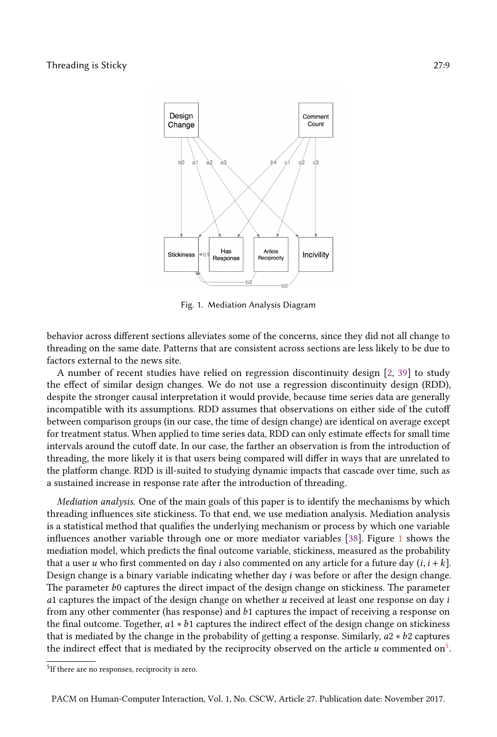

Fig. 1. Mediation Analysis Diagram

behavior across different sections alleviates some of the concerns, since they did not all change to threading on the same date. Patterns that are consistent across sections are less likely to be due to factors external to the news site.

A number of recent studies have relied on regression discontinuity design [2, 39] to study the effect of similar design changes. We do not use a regression discontinuity design (RDD), despite the stronger causal interpretation it would provide, because time series data are generally incompatible with its assumptions. RDD assumes that observations on either side of the cutoff between comparison groups (in our case, the time of design change) are identical on average except for treatment status. When applied to time series data, RDD can only estimate effects for small time intervals around the cutoff date. In our case, the farther an observation is from the introduction of threading, the more likely it is that users being compared will differ in ways that are unrelated to the platform change. RDD is ill-suited to studying dynamic impacts that cascade over time, such as a sustained increase in response rate after the introduction of threading.

Mediation analysis. One of the main goals of this paper is to identify the mechanisms by which threading influences site stickiness. To that end, we use mediation analysis. Mediation analysis is a statistical method that qualifies the underlying mechanism or process by which one variable influences another variable through one or more mediator variables [38]. Figure 1 shows the mediation model, which predicts the final outcome variable, stickiness, measured as the probability that a user u who first commented on day i also commented on any article for a future day  $(i, i + k]$ . Design change is a binary variable indicating whether day i was before or after the design change. The parameter b0 captures the direct impact of the design change on stickiness. The parameter a1 captures the impact of the design change on whether  $u$  received at least one response on day  $i$ from any other commenter (has response) and b1 captures the impact of receiving a response on the final outcome. Together, a1 ∗ b1 captures the indirect effect of the design change on stickiness that is mediated by the change in the probability of getting a response. Similarly,  $a2 * b2$  captures the indirect effect that is mediated by the reciprocity observed on the article  $u$  commented on $^5$ .

<sup>&</sup>lt;sup>5</sup>If there are no responses, reciprocity is zero.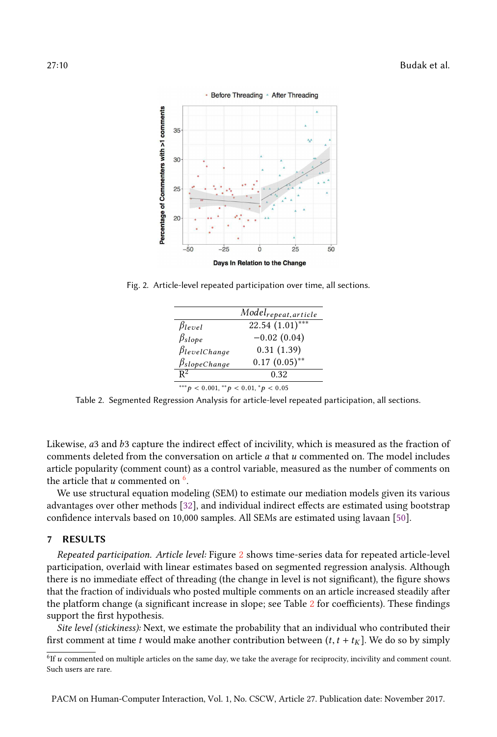

Fig. 2. Article-level repeated participation over time, all sections.

|                                                | Model <sub>repeat, article</sub> |  |
|------------------------------------------------|----------------------------------|--|
| $\beta_{level}$                                | $\overline{22.54(1.01)}^{***}$   |  |
| $\beta_{slope}$                                | $-0.02(0.04)$                    |  |
| $\beta$ levelChange                            | 0.31(1.39)                       |  |
| $\beta$ slopeChange                            | $0.17(0.05)$ **                  |  |
| $\mathbf{p}^2$                                 | 0.32                             |  |
| *** $p < 0.001$ , ** $p < 0.01$ , * $p < 0.05$ |                                  |  |

Table 2. Segmented Regression Analysis for article-level repeated participation, all sections.

Likewise, a3 and b3 capture the indirect effect of incivility, which is measured as the fraction of comments deleted from the conversation on article a that u commented on. The model includes article popularity (comment count) as a control variable, measured as the number of comments on the article that  $u$  commented on  $^6$ .

We use structural equation modeling (SEM) to estimate our mediation models given its various advantages over other methods [32], and individual indirect effects are estimated using bootstrap confidence intervals based on 10,000 samples. All SEMs are estimated using lavaan [50].

# 7 RESULTS

Repeated participation. Article level: Figure 2 shows time-series data for repeated article-level participation, overlaid with linear estimates based on segmented regression analysis. Although there is no immediate effect of threading (the change in level is not significant), the figure shows that the fraction of individuals who posted multiple comments on an article increased steadily after the platform change (a significant increase in slope; see Table 2 for coefficients). These findings support the first hypothesis.

Site level (stickiness): Next, we estimate the probability that an individual who contributed their first comment at time t would make another contribution between  $(t, t + t<sub>K</sub>)$ . We do so by simply

<sup>&</sup>lt;sup>6</sup>If u commented on multiple articles on the same day, we take the average for reciprocity, incivility and comment count. Such users are rare.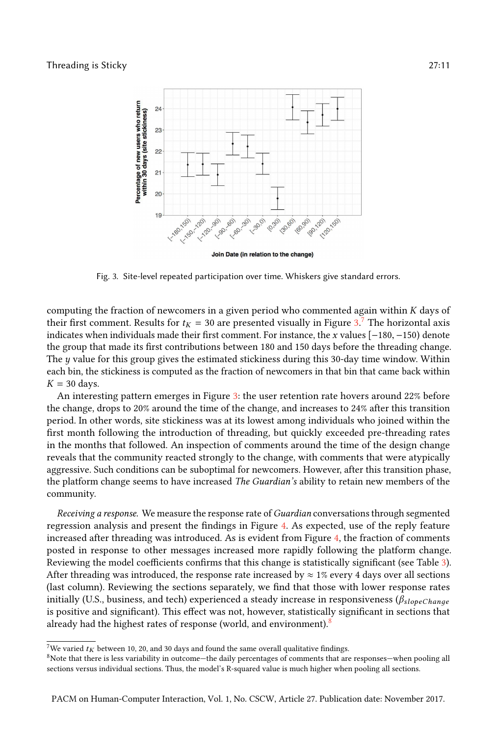

Join Date (in relation to the change)

Fig. 3. Site-level repeated participation over time. Whiskers give standard errors.

computing the fraction of newcomers in a given period who commented again within K days of their first comment. Results for  $t_K = 30$  are presented visually in Figure 3.<sup>7</sup> The horizontal axis indicates when individuals made their first comment. For instance, the x values [−180, −150) denote the group that made its first contributions between 180 and 150 days before the threading change. The  $y$  value for this group gives the estimated stickiness during this 30-day time window. Within each bin, the stickiness is computed as the fraction of newcomers in that bin that came back within  $K = 30$  days.

An interesting pattern emerges in Figure 3: the user retention rate hovers around 22% before the change, drops to 20% around the time of the change, and increases to 24% after this transition period. In other words, site stickiness was at its lowest among individuals who joined within the first month following the introduction of threading, but quickly exceeded pre-threading rates in the months that followed. An inspection of comments around the time of the design change reveals that the community reacted strongly to the change, with comments that were atypically aggressive. Such conditions can be suboptimal for newcomers. However, after this transition phase, the platform change seems to have increased The Guardian's ability to retain new members of the community.

Receiving a response. We measure the response rate of Guardian conversations through segmented regression analysis and present the findings in Figure 4. As expected, use of the reply feature increased after threading was introduced. As is evident from Figure 4, the fraction of comments posted in response to other messages increased more rapidly following the platform change. Reviewing the model coefficients confirms that this change is statistically significant (see Table 3). After threading was introduced, the response rate increased by  $\approx 1\%$  every 4 days over all sections (last column). Reviewing the sections separately, we find that those with lower response rates initially (U.S., business, and tech) experienced a steady increase in responsiveness ( $\beta_{slope Change}$ is positive and significant). This effect was not, however, statistically significant in sections that already had the highest rates of response (world, and environment).<sup>8</sup>

<sup>&</sup>lt;sup>7</sup>We varied  $t_K$  between 10, 20, and 30 days and found the same overall qualitative findings.

<sup>8</sup>Note that there is less variability in outcome-the daily percentages of comments that are responses-when pooling all sections versus individual sections. Thus, the model's R-squared value is much higher when pooling all sections.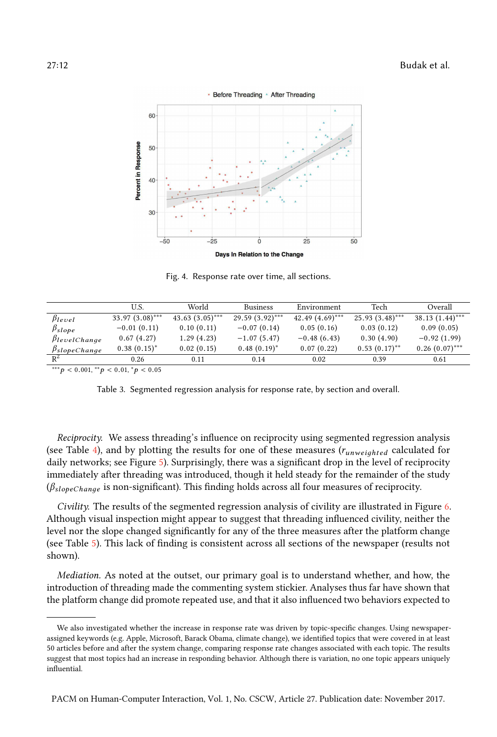

Fig. 4. Response rate over time, all sections.

|                                   | U.S.              | World             | <b>Business</b>   | Environment        | Tech              | Overall           |
|-----------------------------------|-------------------|-------------------|-------------------|--------------------|-------------------|-------------------|
|                                   |                   | $43.63(3.05)$ *** |                   | 42.49 $(4.69)$ *** | $25.93(3.48)$ *** |                   |
| $\beta$ level                     | $33.97(3.08)$ *** |                   | $29.59(3.92)$ *** |                    |                   | $38.13(1.44)$ *** |
| $\beta_{slope}$                   | $-0.01(0.11)$     | 0.10(0.11)        | $-0.07(0.14)$     | 0.05(0.16)         | 0.03(0.12)        | 0.09(0.05)        |
| $\beta$ levelChange               | 0.67(4.27)        | 1.29(4.23)        | $-1.07(5.47)$     | $-0.48(6.43)$      | 0.30(4.90)        | $-0.92(1.99)$     |
| $\frac{\beta_{slopeChange}}{R^2}$ | $0.38(0.15)^*$    | 0.02(0.15)        | $0.48(0.19)^*$    | 0.07(0.22)         | $0.53(0.17)$ **   | $0.26(0.07)$ ***  |
|                                   | 0.26              | 0.11              | 0.14              | 0.02               | 0.39              | 0.61              |
| and the self-control of           |                   |                   |                   |                    |                   |                   |

\*\*\* $p < 0.001,$ \*\* $p < 0.01,$ \* $p < 0.05$ 

Table 3. Segmented regression analysis for response rate, by section and overall.

Reciprocity. We assess threading's influence on reciprocity using segmented regression analysis (see Table 4), and by plotting the results for one of these measures  $(r_{unweighted}$  calculated for daily networks; see Figure 5). Surprisingly, there was a significant drop in the level of reciprocity immediately after threading was introduced, though it held steady for the remainder of the study  $(\beta_{slopeChange}$  is non-significant). This finding holds across all four measures of reciprocity.

Civility. The results of the segmented regression analysis of civility are illustrated in Figure 6. Although visual inspection might appear to suggest that threading influenced civility, neither the level nor the slope changed significantly for any of the three measures after the platform change (see Table 5). This lack of finding is consistent across all sections of the newspaper (results not shown).

Mediation. As noted at the outset, our primary goal is to understand whether, and how, the introduction of threading made the commenting system stickier. Analyses thus far have shown that the platform change did promote repeated use, and that it also influenced two behaviors expected to

We also investigated whether the increase in response rate was driven by topic-specific changes. Using newspaperassigned keywords (e.g. Apple, Microsoft, Barack Obama, climate change), we identified topics that were covered in at least 50 articles before and after the system change, comparing response rate changes associated with each topic. The results suggest that most topics had an increase in responding behavior. Although there is variation, no one topic appears uniquely influential.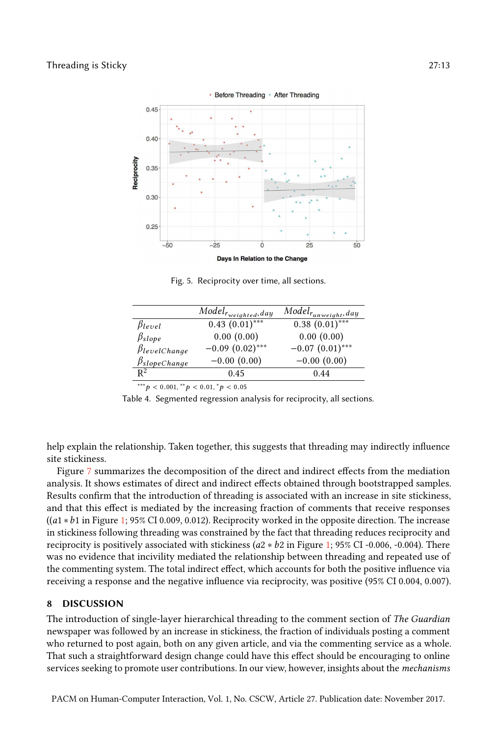

Fig. 5. Reciprocity over time, all sections.

|                     | $Model_{r_{weighted},day}$ | $\overline{Model}_{r_{unweight},day}$ |
|---------------------|----------------------------|---------------------------------------|
| $\beta_{level}$     | $0.43(0.01)$ ***           | $0.38(0.01)$ ***                      |
| $\beta_{slope}$     | 0.00(0.00)                 | 0.00(0.00)                            |
| $\beta$ levelChange | $-0.09(0.02)$ ***          | $-0.07(0.01)$ ***                     |
| $\beta$ slopeChange | $-0.00(0.00)$              | $-0.00(0.00)$                         |
| $\n  p2\n$          | 0.45                       | 0.44                                  |
|                     |                            |                                       |

\*\*\* $p < 0.001,$ \*\* $p < 0.01,$ \* $p < 0.05$ 

Table 4. Segmented regression analysis for reciprocity, all sections.

help explain the relationship. Taken together, this suggests that threading may indirectly influence site stickiness.

Figure 7 summarizes the decomposition of the direct and indirect effects from the mediation analysis. It shows estimates of direct and indirect effects obtained through bootstrapped samples. Results confirm that the introduction of threading is associated with an increase in site stickiness, and that this effect is mediated by the increasing fraction of comments that receive responses ((a1 ∗b1 in Figure 1; 95% CI 0.009, 0.012). Reciprocity worked in the opposite direction. The increase in stickiness following threading was constrained by the fact that threading reduces reciprocity and reciprocity is positively associated with stickiness ( $a2 * b2$  in Figure 1; 95% CI -0.006, -0.004). There was no evidence that incivility mediated the relationship between threading and repeated use of the commenting system. The total indirect effect, which accounts for both the positive influence via receiving a response and the negative influence via reciprocity, was positive (95% CI 0.004, 0.007).

# 8 DISCUSSION

The introduction of single-layer hierarchical threading to the comment section of The Guardian newspaper was followed by an increase in stickiness, the fraction of individuals posting a comment who returned to post again, both on any given article, and via the commenting service as a whole. That such a straightforward design change could have this effect should be encouraging to online services seeking to promote user contributions. In our view, however, insights about the *mechanisms*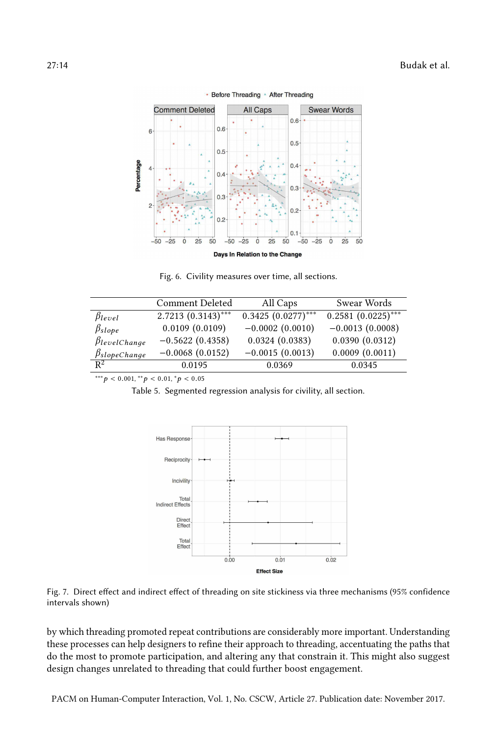

• Before Threading • After Threading

Fig. 6. Civility measures over time, all sections.

|                                   | Comment Deleted      | All Caps             | Swear Words          |
|-----------------------------------|----------------------|----------------------|----------------------|
| $\beta_{level}$                   | $2.7213(0.3143)$ *** | $0.3425(0.0277)$ *** | $0.2581(0.0225)$ *** |
| $\beta_{slope}$                   | 0.0109(0.0109)       | $-0.0002(0.0010)$    | $-0.0013(0.0008)$    |
| $\beta$ levelChange               | $-0.5622(0.4358)$    | 0.0324(0.0383)       | 0.0390(0.0312)       |
| $\frac{\beta_{slopeChange}}{R^2}$ | $-0.0068(0.0152)$    | $-0.0015(0.0013)$    | 0.0009(0.0011)       |
|                                   | 0.0195               | 0.0369               | 0.0345               |
|                                   |                      |                      |                      |

 $^{***}p < 0.001, ^{**}p < 0.01, ^{*}p < 0.05$ 

Table 5. Segmented regression analysis for civility, all section.





by which threading promoted repeat contributions are considerably more important. Understanding these processes can help designers to refine their approach to threading, accentuating the paths that do the most to promote participation, and altering any that constrain it. This might also suggest design changes unrelated to threading that could further boost engagement.

PACM on Human-Computer Interaction, Vol. 1, No. CSCW, Article 27. Publication date: November 2017.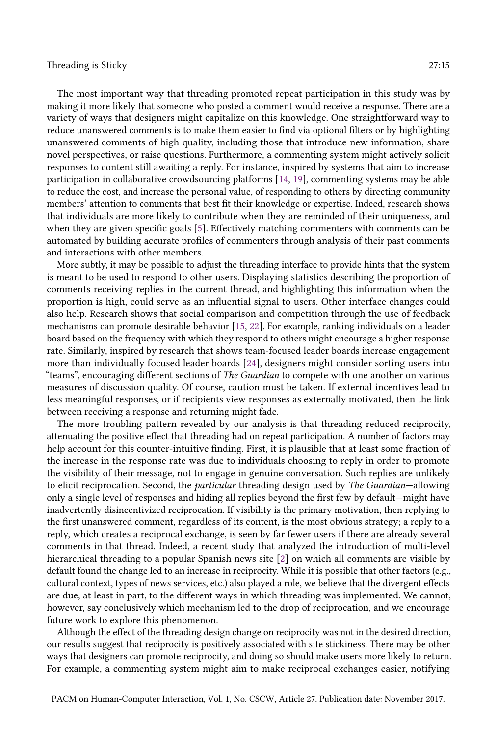The most important way that threading promoted repeat participation in this study was by making it more likely that someone who posted a comment would receive a response. There are a variety of ways that designers might capitalize on this knowledge. One straightforward way to reduce unanswered comments is to make them easier to find via optional filters or by highlighting unanswered comments of high quality, including those that introduce new information, share novel perspectives, or raise questions. Furthermore, a commenting system might actively solicit responses to content still awaiting a reply. For instance, inspired by systems that aim to increase participation in collaborative crowdsourcing platforms [14, 19], commenting systems may be able to reduce the cost, and increase the personal value, of responding to others by directing community members' attention to comments that best fit their knowledge or expertise. Indeed, research shows that individuals are more likely to contribute when they are reminded of their uniqueness, and when they are given specific goals [5]. Effectively matching commenters with comments can be automated by building accurate profiles of commenters through analysis of their past comments and interactions with other members.

More subtly, it may be possible to adjust the threading interface to provide hints that the system is meant to be used to respond to other users. Displaying statistics describing the proportion of comments receiving replies in the current thread, and highlighting this information when the proportion is high, could serve as an influential signal to users. Other interface changes could also help. Research shows that social comparison and competition through the use of feedback mechanisms can promote desirable behavior [15, 22]. For example, ranking individuals on a leader board based on the frequency with which they respond to others might encourage a higher response rate. Similarly, inspired by research that shows team-focused leader boards increase engagement more than individually focused leader boards [24], designers might consider sorting users into "teams", encouraging different sections of *The Guardian* to compete with one another on various measures of discussion quality. Of course, caution must be taken. If external incentives lead to less meaningful responses, or if recipients view responses as externally motivated, then the link between receiving a response and returning might fade.

The more troubling pattern revealed by our analysis is that threading reduced reciprocity, attenuating the positive effect that threading had on repeat participation. A number of factors may help account for this counter-intuitive finding. First, it is plausible that at least some fraction of the increase in the response rate was due to individuals choosing to reply in order to promote the visibility of their message, not to engage in genuine conversation. Such replies are unlikely to elicit reciprocation. Second, the *particular* threading design used by *The Guardian*-allowing only a single level of responses and hiding all replies beyond the first few by default–might have inadvertently disincentivized reciprocation. If visibility is the primary motivation, then replying to the first unanswered comment, regardless of its content, is the most obvious strategy; a reply to a reply, which creates a reciprocal exchange, is seen by far fewer users if there are already several comments in that thread. Indeed, a recent study that analyzed the introduction of multi-level hierarchical threading to a popular Spanish news site [2] on which all comments are visible by default found the change led to an increase in reciprocity. While it is possible that other factors (e.g., cultural context, types of news services, etc.) also played a role, we believe that the divergent effects are due, at least in part, to the different ways in which threading was implemented. We cannot, however, say conclusively which mechanism led to the drop of reciprocation, and we encourage future work to explore this phenomenon.

Although the effect of the threading design change on reciprocity was not in the desired direction, our results suggest that reciprocity is positively associated with site stickiness. There may be other ways that designers can promote reciprocity, and doing so should make users more likely to return. For example, a commenting system might aim to make reciprocal exchanges easier, notifying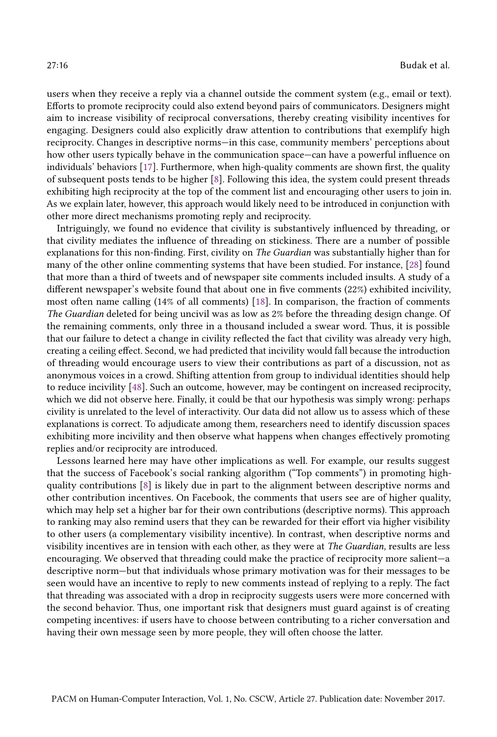users when they receive a reply via a channel outside the comment system (e.g., email or text). Efforts to promote reciprocity could also extend beyond pairs of communicators. Designers might aim to increase visibility of reciprocal conversations, thereby creating visibility incentives for engaging. Designers could also explicitly draw attention to contributions that exemplify high reciprocity. Changes in descriptive norms—in this case, community members' perceptions about how other users typically behave in the communication space—can have a powerful influence on individuals' behaviors [17]. Furthermore, when high-quality comments are shown first, the quality of subsequent posts tends to be higher [8]. Following this idea, the system could present threads exhibiting high reciprocity at the top of the comment list and encouraging other users to join in. As we explain later, however, this approach would likely need to be introduced in conjunction with other more direct mechanisms promoting reply and reciprocity.

Intriguingly, we found no evidence that civility is substantively influenced by threading, or that civility mediates the influence of threading on stickiness. There are a number of possible explanations for this non-finding. First, civility on The Guardian was substantially higher than for many of the other online commenting systems that have been studied. For instance, [28] found that more than a third of tweets and of newspaper site comments included insults. A study of a different newspaper's website found that about one in five comments (22%) exhibited incivility, most often name calling (14% of all comments) [18]. In comparison, the fraction of comments The Guardian deleted for being uncivil was as low as 2% before the threading design change. Of the remaining comments, only three in a thousand included a swear word. Thus, it is possible that our failure to detect a change in civility reflected the fact that civility was already very high, creating a ceiling effect. Second, we had predicted that incivility would fall because the introduction of threading would encourage users to view their contributions as part of a discussion, not as anonymous voices in a crowd. Shifting attention from group to individual identities should help to reduce incivility [48]. Such an outcome, however, may be contingent on increased reciprocity, which we did not observe here. Finally, it could be that our hypothesis was simply wrong: perhaps civility is unrelated to the level of interactivity. Our data did not allow us to assess which of these explanations is correct. To adjudicate among them, researchers need to identify discussion spaces exhibiting more incivility and then observe what happens when changes effectively promoting replies and/or reciprocity are introduced.

Lessons learned here may have other implications as well. For example, our results suggest that the success of Facebook's social ranking algorithm ("Top comments") in promoting highquality contributions [8] is likely due in part to the alignment between descriptive norms and other contribution incentives. On Facebook, the comments that users see are of higher quality, which may help set a higher bar for their own contributions (descriptive norms). This approach to ranking may also remind users that they can be rewarded for their effort via higher visibility to other users (a complementary visibility incentive). In contrast, when descriptive norms and visibility incentives are in tension with each other, as they were at The Guardian, results are less encouraging. We observed that threading could make the practice of reciprocity more salient—a descriptive norm-but that individuals whose primary motivation was for their messages to be seen would have an incentive to reply to new comments instead of replying to a reply. The fact that threading was associated with a drop in reciprocity suggests users were more concerned with the second behavior. Thus, one important risk that designers must guard against is of creating competing incentives: if users have to choose between contributing to a richer conversation and having their own message seen by more people, they will often choose the latter.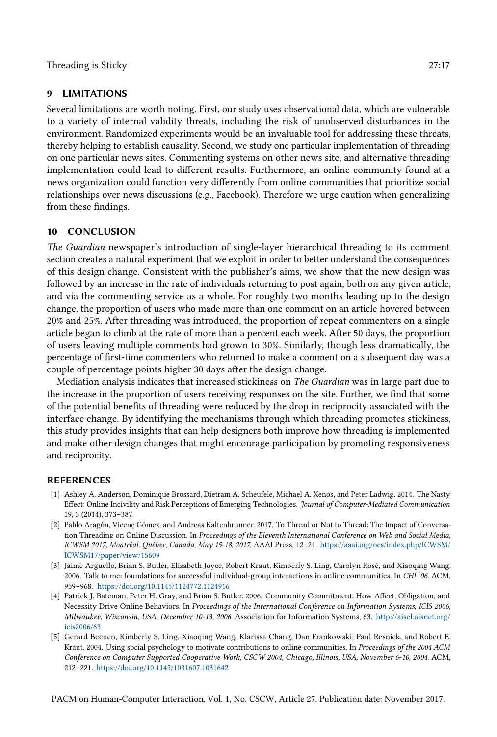# 9 LIMITATIONS

Several limitations are worth noting. First, our study uses observational data, which are vulnerable to a variety of internal validity threats, including the risk of unobserved disturbances in the environment. Randomized experiments would be an invaluable tool for addressing these threats, thereby helping to establish causality. Second, we study one particular implementation of threading on one particular news sites. Commenting systems on other news site, and alternative threading implementation could lead to different results. Furthermore, an online community found at a news organization could function very differently from online communities that prioritize social relationships over news discussions (e.g., Facebook). Therefore we urge caution when generalizing from these findings.

# 10 CONCLUSION

The Guardian newspaper's introduction of single-layer hierarchical threading to its comment section creates a natural experiment that we exploit in order to better understand the consequences of this design change. Consistent with the publisher's aims, we show that the new design was followed by an increase in the rate of individuals returning to post again, both on any given article, and via the commenting service as a whole. For roughly two months leading up to the design change, the proportion of users who made more than one comment on an article hovered between 20% and 25%. After threading was introduced, the proportion of repeat commenters on a single article began to climb at the rate of more than a percent each week. After 50 days, the proportion of users leaving multiple comments had grown to 30%. Similarly, though less dramatically, the percentage of first-time commenters who returned to make a comment on a subsequent day was a couple of percentage points higher 30 days after the design change.

Mediation analysis indicates that increased stickiness on The Guardian was in large part due to the increase in the proportion of users receiving responses on the site. Further, we find that some of the potential benefits of threading were reduced by the drop in reciprocity associated with the interface change. By identifying the mechanisms through which threading promotes stickiness, this study provides insights that can help designers both improve how threading is implemented and make other design changes that might encourage participation by promoting responsiveness and reciprocity.

# REFERENCES

- [1] Ashley A. Anderson, Dominique Brossard, Dietram A. Scheufele, Michael A. Xenos, and Peter Ladwig. 2014. The Nasty Effect: Online Incivility and Risk Perceptions of Emerging Technologies. Journal of Computer-Mediated Communication 19, 3 (2014), 373–387.
- [2] Pablo Aragón, Vicenç Gómez, and Andreas Kaltenbrunner. 2017. To Thread or Not to Thread: The Impact of Conversation Threading on Online Discussion. In Proceedings of the Eleventh International Conference on Web and Social Media, ICWSM 2017, Montréal, Québec, Canada, May 15-18, 2017. AAAI Press, 12–21. https://aaai.org/ocs/index.php/ICWSM/ ICWSM17/paper/view/15609
- [3] Jaime Arguello, Brian S. Butler, Elisabeth Joyce, Robert Kraut, Kimberly S. Ling, Carolyn Rosé, and Xiaoqing Wang. 2006. Talk to me: foundations for successful individual-group interactions in online communities. In CHI '06. ACM, 959–968. https://doi.org/10.1145/1124772.1124916
- [4] Patrick J. Bateman, Peter H. Gray, and Brian S. Butler. 2006. Community Commitment: How Affect, Obligation, and Necessity Drive Online Behaviors. In Proceedings of the International Conference on Information Systems, ICIS 2006, Milwaukee, Wisconsin, USA, December 10-13, 2006. Association for Information Systems, 63. http://aisel.aisnet.org/ icis2006/63
- [5] Gerard Beenen, Kimberly S. Ling, Xiaoqing Wang, Klarissa Chang, Dan Frankowski, Paul Resnick, and Robert E. Kraut. 2004. Using social psychology to motivate contributions to online communities. In Proceedings of the 2004 ACM Conference on Computer Supported Cooperative Work, CSCW 2004, Chicago, Illinois, USA, November 6-10, 2004. ACM, 212–221. https://doi.org/10.1145/1031607.1031642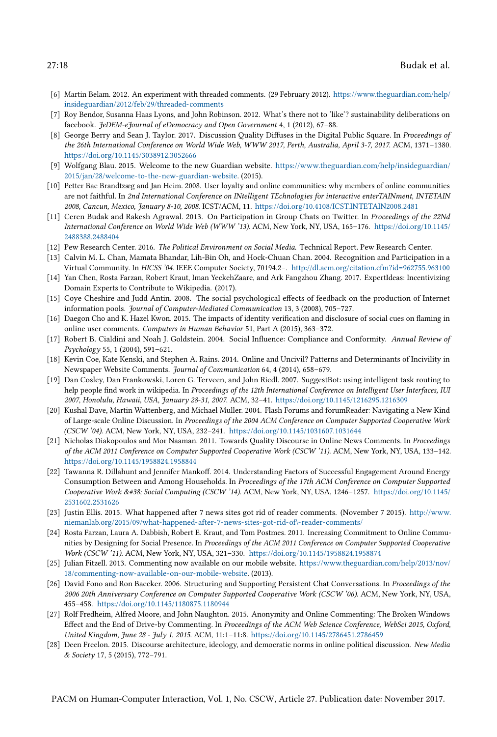- [6] Martin Belam. 2012. An experiment with threaded comments. (29 February 2012). https://www.theguardian.com/help/ insideguardian/2012/feb/29/threaded-comments
- [7] Roy Bendor, Susanna Haas Lyons, and John Robinson. 2012. What's there not to 'like'? sustainability deliberations on facebook. JeDEM-eJournal of eDemocracy and Open Government 4, 1 (2012), 67-88.
- [8] George Berry and Sean J. Taylor. 2017. Discussion Quality Diffuses in the Digital Public Square. In Proceedings of the 26th International Conference on World Wide Web, WWW 2017, Perth, Australia, April 3-7, 2017. ACM, 1371–1380. https://doi.org/10.1145/3038912.3052666
- [9] Wolfgang Blau. 2015. Welcome to the new Guardian website. https://www.theguardian.com/help/insideguardian/ 2015/jan/28/welcome-to-the-new-guardian-website. (2015).
- [10] Petter Bae Brandtzæg and Jan Heim. 2008. User loyalty and online communities: why members of online communities are not faithful. In 2nd International Conference on INtelligent TEchnologies for interactive enterTAINment, INTETAIN 2008, Cancun, Mexico, January 8-10, 2008. ICST/ACM, 11. https://doi.org/10.4108/ICST.INTETAIN2008.2481
- [11] Ceren Budak and Rakesh Agrawal. 2013. On Participation in Group Chats on Twitter. In Proceedings of the 22Nd International Conference on World Wide Web (WWW '13). ACM, New York, NY, USA, 165–176. https://doi.org/10.1145/ 2488388.2488404
- [12] Pew Research Center. 2016. The Political Environment on Social Media. Technical Report. Pew Research Center.
- [13] Calvin M. L. Chan, Mamata Bhandar, Lih-Bin Oh, and Hock-Chuan Chan. 2004. Recognition and Participation in a Virtual Community. In HICSS '04. IEEE Computer Society, 70194.2–. http://dl.acm.org/citation.cfm?id=962755.963100
- [14] Yan Chen, Rosta Farzan, Robert Kraut, Iman YeckehZaare, and Ark Fangzhou Zhang. 2017. ExpertIdeas: Incentivizing Domain Experts to Contribute to Wikipedia. (2017).
- [15] Coye Cheshire and Judd Antin. 2008. The social psychological effects of feedback on the production of Internet information pools. Journal of Computer-Mediated Communication 13, 3 (2008), 705–727.
- [16] Daegon Cho and K. Hazel Kwon. 2015. The impacts of identity verification and disclosure of social cues on flaming in online user comments. Computers in Human Behavior 51, Part A (2015), 363–372.
- [17] Robert B. Cialdini and Noah J. Goldstein. 2004. Social Influence: Compliance and Conformity. Annual Review of Psychology 55, 1 (2004), 591–621.
- [18] Kevin Coe, Kate Kenski, and Stephen A. Rains. 2014. Online and Uncivil? Patterns and Determinants of Incivility in Newspaper Website Comments. Journal of Communication 64, 4 (2014), 658–679.
- [19] Dan Cosley, Dan Frankowski, Loren G. Terveen, and John Riedl. 2007. SuggestBot: using intelligent task routing to help people find work in wikipedia. In Proceedings of the 12th International Conference on Intelligent User Interfaces, IUI 2007, Honolulu, Hawaii, USA, January 28-31, 2007. ACM, 32–41. https://doi.org/10.1145/1216295.1216309
- [20] Kushal Dave, Martin Wattenberg, and Michael Muller. 2004. Flash Forums and forumReader: Navigating a New Kind of Large-scale Online Discussion. In Proceedings of the 2004 ACM Conference on Computer Supported Cooperative Work (CSCW '04). ACM, New York, NY, USA, 232–241. https://doi.org/10.1145/1031607.1031644
- [21] Nicholas Diakopoulos and Mor Naaman. 2011. Towards Quality Discourse in Online News Comments. In Proceedings of the ACM 2011 Conference on Computer Supported Cooperative Work (CSCW '11). ACM, New York, NY, USA, 133–142. https://doi.org/10.1145/1958824.1958844
- [22] Tawanna R. Dillahunt and Jennifer Mankoff. 2014. Understanding Factors of Successful Engagement Around Energy Consumption Between and Among Households. In Proceedings of the 17th ACM Conference on Computer Supported Cooperative Work & Social Computing (CSCW '14). ACM, New York, NY, USA, 1246-1257. https://doi.org/10.1145/ 2531602.2531626
- [23] Justin Ellis. 2015. What happened after 7 news sites got rid of reader comments. (November 7 2015). http://www. niemanlab.org/2015/09/what-happened-after-7-news-sites-got-rid-of\-reader-comments/
- [24] Rosta Farzan, Laura A. Dabbish, Robert E. Kraut, and Tom Postmes. 2011. Increasing Commitment to Online Communities by Designing for Social Presence. In Proceedings of the ACM 2011 Conference on Computer Supported Cooperative Work (CSCW '11). ACM, New York, NY, USA, 321–330. https://doi.org/10.1145/1958824.1958874
- [25] Julian Fitzell. 2013. Commenting now available on our mobile website. https://www.theguardian.com/help/2013/nov/ 18/commenting-now-available-on-our-mobile-website. (2013).
- [26] David Fono and Ron Baecker. 2006. Structuring and Supporting Persistent Chat Conversations. In Proceedings of the 2006 20th Anniversary Conference on Computer Supported Cooperative Work (CSCW '06). ACM, New York, NY, USA, 455–458. https://doi.org/10.1145/1180875.1180944
- [27] Rolf Fredheim, Alfred Moore, and John Naughton. 2015. Anonymity and Online Commenting: The Broken Windows Effect and the End of Drive-by Commenting. In Proceedings of the ACM Web Science Conference, WebSci 2015, Oxford, United Kingdom, June 28 - July 1, 2015. ACM, 11:1–11:8. https://doi.org/10.1145/2786451.2786459
- [28] Deen Freelon. 2015. Discourse architecture, ideology, and democratic norms in online political discussion. New Media & Society 17, 5 (2015), 772–791.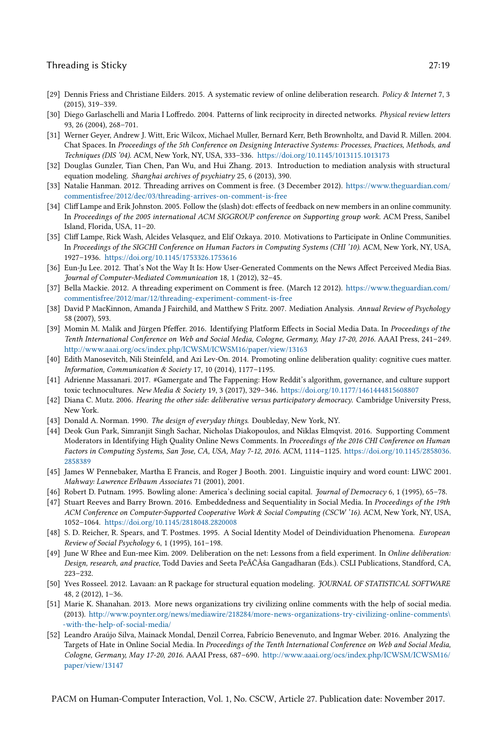- [29] Dennis Friess and Christiane Eilders. 2015. A systematic review of online deliberation research. Policy & Internet 7, 3 (2015), 319–339.
- [30] Diego Garlaschelli and Maria I Loffredo. 2004. Patterns of link reciprocity in directed networks. Physical review letters 93, 26 (2004), 268–701.
- [31] Werner Geyer, Andrew J. Witt, Eric Wilcox, Michael Muller, Bernard Kerr, Beth Brownholtz, and David R. Millen. 2004. Chat Spaces. In Proceedings of the 5th Conference on Designing Interactive Systems: Processes, Practices, Methods, and Techniques (DIS '04). ACM, New York, NY, USA, 333–336. https://doi.org/10.1145/1013115.1013173
- [32] Douglas Gunzler, Tian Chen, Pan Wu, and Hui Zhang. 2013. Introduction to mediation analysis with structural equation modeling. Shanghai archives of psychiatry 25, 6 (2013), 390.
- [33] Natalie Hanman. 2012. Threading arrives on Comment is free. (3 December 2012). https://www.theguardian.com/ commentisfree/2012/dec/03/threading-arrives-on-comment-is-free
- [34] Cliff Lampe and Erik Johnston. 2005. Follow the (slash) dot: effects of feedback on new members in an online community. In Proceedings of the 2005 international ACM SIGGROUP conference on Supporting group work. ACM Press, Sanibel Island, Florida, USA, 11–20.
- [35] Cliff Lampe, Rick Wash, Alcides Velasquez, and Elif Ozkaya. 2010. Motivations to Participate in Online Communities. In Proceedings of the SIGCHI Conference on Human Factors in Computing Systems (CHI '10). ACM, New York, NY, USA, 1927–1936. https://doi.org/10.1145/1753326.1753616
- [36] Eun-Ju Lee. 2012. That's Not the Way It Is: How User-Generated Comments on the News Affect Perceived Media Bias. Journal of Computer-Mediated Communication 18, 1 (2012), 32–45.
- [37] Bella Mackie. 2012. A threading experiment on Comment is free. (March 12 2012). https://www.theguardian.com/ commentisfree/2012/mar/12/threading-experiment-comment-is-free
- [38] David P MacKinnon, Amanda J Fairchild, and Matthew S Fritz. 2007. Mediation Analysis. Annual Review of Psychology 58 (2007), 593.
- [39] Momin M. Malik and Jürgen Pfeffer. 2016. Identifying Platform Effects in Social Media Data. In Proceedings of the Tenth International Conference on Web and Social Media, Cologne, Germany, May 17-20, 2016. AAAI Press, 241–249. http://www.aaai.org/ocs/index.php/ICWSM/ICWSM16/paper/view/13163
- [40] Edith Manosevitch, Nili Steinfeld, and Azi Lev-On. 2014. Promoting online deliberation quality: cognitive cues matter. Information, Communication & Society 17, 10 (2014), 1177–1195.
- [41] Adrienne Massanari. 2017. #Gamergate and The Fappening: How Reddit's algorithm, governance, and culture support toxic technocultures. New Media & Society 19, 3 (2017), 329-346. https://doi.org/10.1177/1461444815608807
- [42] Diana C. Mutz. 2006. Hearing the other side: deliberative versus participatory democracy. Cambridge University Press, New York.
- [43] Donald A. Norman. 1990. The design of everyday things. Doubleday, New York, NY.
- [44] Deok Gun Park, Simranjit Singh Sachar, Nicholas Diakopoulos, and Niklas Elmqvist. 2016. Supporting Comment Moderators in Identifying High Quality Online News Comments. In Proceedings of the 2016 CHI Conference on Human Factors in Computing Systems, San Jose, CA, USA, May 7-12, 2016. ACM, 1114–1125. https://doi.org/10.1145/2858036. 2858389
- [45] James W Pennebaker, Martha E Francis, and Roger J Booth. 2001. Linguistic inquiry and word count: LIWC 2001. Mahway: Lawrence Erlbaum Associates 71 (2001), 2001.
- [46] Robert D. Putnam. 1995. Bowling alone: America's declining social capital. Journal of Democracy 6, 1 (1995), 65–78.
- [47] Stuart Reeves and Barry Brown. 2016. Embeddedness and Sequentiality in Social Media. In Proceedings of the 19th ACM Conference on Computer-Supported Cooperative Work & Social Computing (CSCW '16). ACM, New York, NY, USA, 1052–1064. https://doi.org/10.1145/2818048.2820008
- [48] S. D. Reicher, R. Spears, and T. Postmes. 1995. A Social Identity Model of Deindividuation Phenomena. European Review of Social Psychology 6, 1 (1995), 161–198.
- [49] June W Rhee and Eun-mee Kim. 2009. Deliberation on the net: Lessons from a field experiment. In Online deliberation: Design, research, and practice, Todd Davies and Seeta PeÃČÂśa Gangadharan (Eds.). CSLI Publications, Standford, CA, 223–232.
- [50] Yves Rosseel. 2012. Lavaan: an R package for structural equation modeling. JOURNAL OF STATISTICAL SOFTWARE 48, 2 (2012), 1–36.
- [51] Marie K. Shanahan. 2013. More news organizations try civilizing online comments with the help of social media. (2013). http://www.poynter.org/news/mediawire/218284/more-news-organizations-try-civilizing-online-comments\ -with-the-help-of-social-media/
- [52] Leandro Araújo Silva, Mainack Mondal, Denzil Correa, Fabrício Benevenuto, and Ingmar Weber. 2016. Analyzing the Targets of Hate in Online Social Media. In Proceedings of the Tenth International Conference on Web and Social Media, Cologne, Germany, May 17-20, 2016. AAAI Press, 687–690. http://www.aaai.org/ocs/index.php/ICWSM/ICWSM16/ paper/view/13147